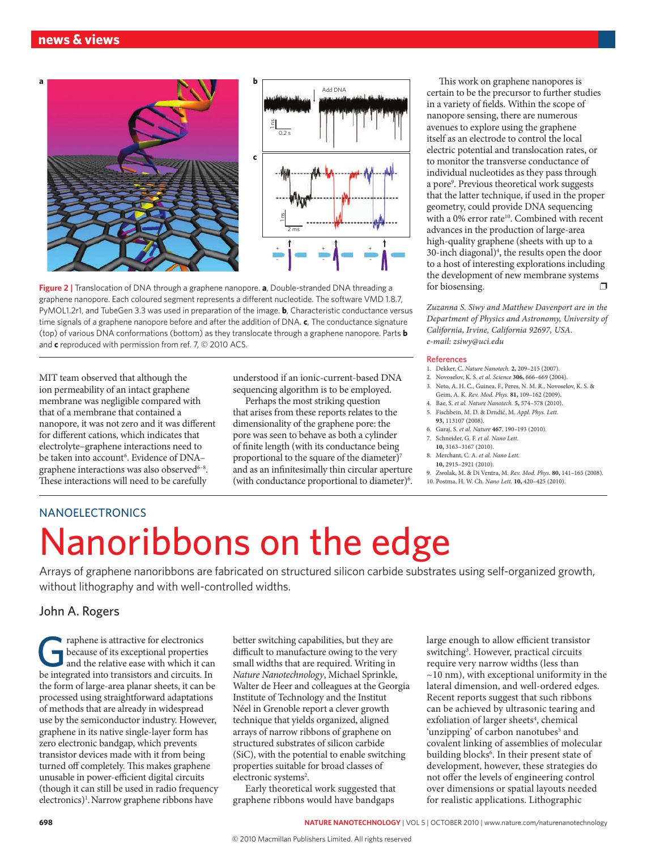

**Figure 2 |** Translocation of DNA through a graphene nanopore. **a**, Double-stranded DNA threading a graphene nanopore. Each coloured segment represents a different nucleotide. The software VMD 1.8.7, PyMOL1.2r1, and TubeGen 3.3 was used in preparation of the image. **b**, Characteristic conductance versus time signals of a graphene nanopore before and after the addition of DNA. **c**, The conductance signature (top) of various DNA conformations (bottom) as they translocate through a graphene nanopore. Parts **b** and **c** reproduced with permission from ref. 7, © 2010 ACS.

MIT team observed that although the ion permeability of an intact graphene membrane was negligible compared with that of a membrane that contained a nanopore, it was not zero and it was different for different cations, which indicates that electrolyte–graphene interactions need to be taken into account<sup>6</sup>. Evidence of DNA– graphene interactions was also observed<sup>6-8</sup>. These interactions will need to be carefully

understood if an ionic-current-based DNA sequencing algorithm is to be employed.

Perhaps the most striking question that arises from these reports relates to the dimensionality of the graphene pore: the pore was seen to behave as both a cylinder of finite length (with its conductance being proportional to the square of the diameter)<sup>7</sup> and as an infinitesimally thin circular aperture (with conductance proportional to diameter)<sup>6</sup>.

This work on graphene nanopores is certain to be the precursor to further studies in a variety of fields. Within the scope of nanopore sensing, there are numerous avenues to explore using the graphene itself as an electrode to control the local electric potential and translocation rates, or to monitor the transverse conductance of individual nucleotides as they pass through a pore9 . Previous theoretical work suggests that the latter technique, if used in the proper geometry, could provide DNA sequencing with a 0% error rate<sup>10</sup>. Combined with recent advances in the production of large-area high-quality graphene (sheets with up to a 30-inch diagonal)4 , the results open the door to a host of interesting explorations including the development of new membrane systems for biosensing for biosensing.

*Zuzanna S. Siwy and Matthew Davenport are in the Department of Physics and Astronomy, University of California, Irvine, California 92697, USA. <e-mail: zsiwy@uci.edu>*

#### References

- 1. Dekker, C. *Nature Nanotech.* **2,** 209–215 (2007).
- 2. Novoselov, K. S. *et al. Science* **306,** 666–669 (2004).
- 3. Neto, A. H. C., Guinea, F., Peres, N. M. R., Novoselov, K. S. & Geim, A. K. *Rev. Mod. Phys.* **81,** 109–162 (2009).
- 4. Bae, S. *et al. Nature Nanotech.* **5,** 574–578 (2010). 5. Fischbein, M. D. & Drndić, M. *Appl. Phys. Lett.*
- **93,** 113107 (2008).
- 6. Garaj, S. *et al. Nature* **467**, 190–193 (2010). 7. Schneider, G. F. *et al. Nano Lett.*
- **10,** 3163–3167 (2010).
- 8. Merchant, C. A. *et al. Nano Lett.*
- **10,** 2915–2921 (2010).
- 9. Zwolak, M. & Di Ventra, M. *Rev. Mod. Phys.* **80,** 141–165 (2008).
- 10. Postma, H. W. Ch. *Nano Lett.* **10,** 420–425 (2010).

### **NANOELECTRONICS**

# Nanoribbons on the edge

Arrays of graphene nanoribbons are fabricated on structured silicon carbide substrates using self-organized growth, without lithography and with well-controlled widths.

### John A. Rogers

Fraphene is attractive for electronics<br>because of its exceptional properties<br>and the relative ease with which it c<br>be integrated into transistors and circuits because of its exceptional properties and the relative ease with which it can be integrated into transistors and circuits. In the form of large-area planar sheets, it can be processed using straightforward adaptations of methods that are already in widespread use by the semiconductor industry. However, graphene in its native single-layer form has zero electronic bandgap, which prevents transistor devices made with it from being turned off completely. This makes graphene unusable in power-efficient digital circuits (though it can still be used in radio frequency electronics)<sup>1</sup>. Narrow graphene ribbons have

better switching capabilities, but they are difficult to manufacture owing to the very small widths that are required. Writing in *Nature Nanotechnology*, Michael Sprinkle, Walter de Heer and colleagues at the Georgia Institute of Technology and the Institut Néel in Grenoble report a clever growth technique that yields organized, aligned arrays of narrow ribbons of graphene on structured substrates of silicon carbide (SiC), with the potential to enable switching properties suitable for broad classes of electronic systems<sup>2</sup>.

Early theoretical work suggested that graphene ribbons would have bandgaps

large enough to allow efficient transistor switching<sup>3</sup>. However, practical circuits require very narrow widths (less than  $\sim$ 10 nm), with exceptional uniformity in the lateral dimension, and well-ordered edges. Recent reports suggest that such ribbons can be achieved by ultrasonic tearing and exfoliation of larger sheets<sup>4</sup>, chemical 'unzipping' of carbon nanotubes<sup>5</sup> and covalent linking of assemblies of molecular building blocks<sup>6</sup>. In their present state of development, however, these strategies do not offer the levels of engineering control over dimensions or spatial layouts needed for realistic applications. Lithographic